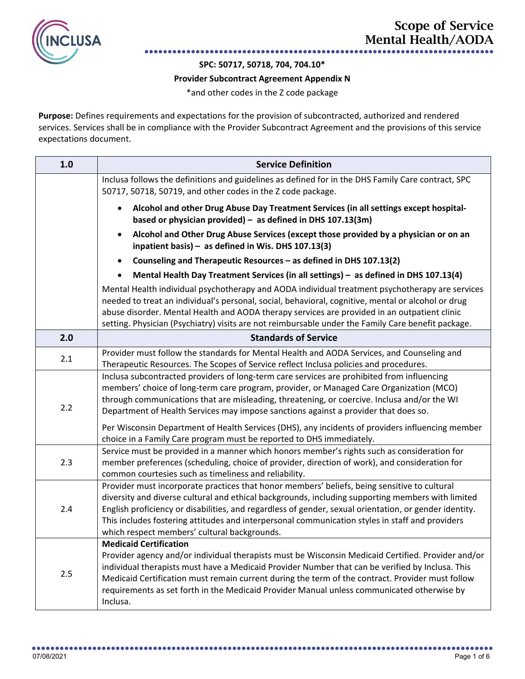

**SPC: 50717, 50718, 704, 704.10\***

## **Provider Subcontract Agreement Appendix N**

\*and other codes in the Z code package

**Purpose:** Defines requirements and expectations for the provision of subcontracted, authorized and rendered services. Services shall be in compliance with the Provider Subcontract Agreement and the provisions of this service expectations document.

| 1.0 | <b>Service Definition</b>                                                                                                                                                                                                                                                                                                                                                                                                                                                                                                                               |
|-----|---------------------------------------------------------------------------------------------------------------------------------------------------------------------------------------------------------------------------------------------------------------------------------------------------------------------------------------------------------------------------------------------------------------------------------------------------------------------------------------------------------------------------------------------------------|
|     | Inclusa follows the definitions and guidelines as defined for in the DHS Family Care contract, SPC<br>50717, 50718, 50719, and other codes in the Z code package.                                                                                                                                                                                                                                                                                                                                                                                       |
|     | Alcohol and other Drug Abuse Day Treatment Services (in all settings except hospital-<br>based or physician provided) - as defined in DHS $107.13(3m)$                                                                                                                                                                                                                                                                                                                                                                                                  |
|     | Alcohol and Other Drug Abuse Services (except those provided by a physician or on an<br>$\bullet$<br>inpatient basis) - as defined in Wis. DHS 107.13(3)                                                                                                                                                                                                                                                                                                                                                                                                |
|     | Counseling and Therapeutic Resources - as defined in DHS 107.13(2)<br>$\bullet$                                                                                                                                                                                                                                                                                                                                                                                                                                                                         |
|     | Mental Health Day Treatment Services (in all settings) - as defined in DHS 107.13(4)                                                                                                                                                                                                                                                                                                                                                                                                                                                                    |
|     | Mental Health individual psychotherapy and AODA individual treatment psychotherapy are services<br>needed to treat an individual's personal, social, behavioral, cognitive, mental or alcohol or drug<br>abuse disorder. Mental Health and AODA therapy services are provided in an outpatient clinic<br>setting. Physician (Psychiatry) visits are not reimbursable under the Family Care benefit package.                                                                                                                                             |
| 2.0 | <b>Standards of Service</b>                                                                                                                                                                                                                                                                                                                                                                                                                                                                                                                             |
| 2.1 | Provider must follow the standards for Mental Health and AODA Services, and Counseling and<br>Therapeutic Resources. The Scopes of Service reflect Inclusa policies and procedures.                                                                                                                                                                                                                                                                                                                                                                     |
| 2.2 | Inclusa subcontracted providers of long-term care services are prohibited from influencing<br>members' choice of long-term care program, provider, or Managed Care Organization (MCO)<br>through communications that are misleading, threatening, or coercive. Inclusa and/or the WI<br>Department of Health Services may impose sanctions against a provider that does so.<br>Per Wisconsin Department of Health Services (DHS), any incidents of providers influencing member<br>choice in a Family Care program must be reported to DHS immediately. |
| 2.3 | Service must be provided in a manner which honors member's rights such as consideration for<br>member preferences (scheduling, choice of provider, direction of work), and consideration for<br>common courtesies such as timeliness and reliability.                                                                                                                                                                                                                                                                                                   |
| 2.4 | Provider must incorporate practices that honor members' beliefs, being sensitive to cultural<br>diversity and diverse cultural and ethical backgrounds, including supporting members with limited<br>English proficiency or disabilities, and regardless of gender, sexual orientation, or gender identity.<br>This includes fostering attitudes and interpersonal communication styles in staff and providers<br>which respect members' cultural backgrounds.                                                                                          |
| 2.5 | <b>Medicaid Certification</b><br>Provider agency and/or individual therapists must be Wisconsin Medicaid Certified. Provider and/or<br>individual therapists must have a Medicaid Provider Number that can be verified by Inclusa. This<br>Medicaid Certification must remain current during the term of the contract. Provider must follow<br>requirements as set forth in the Medicaid Provider Manual unless communicated otherwise by<br>Inclusa.                                                                                                   |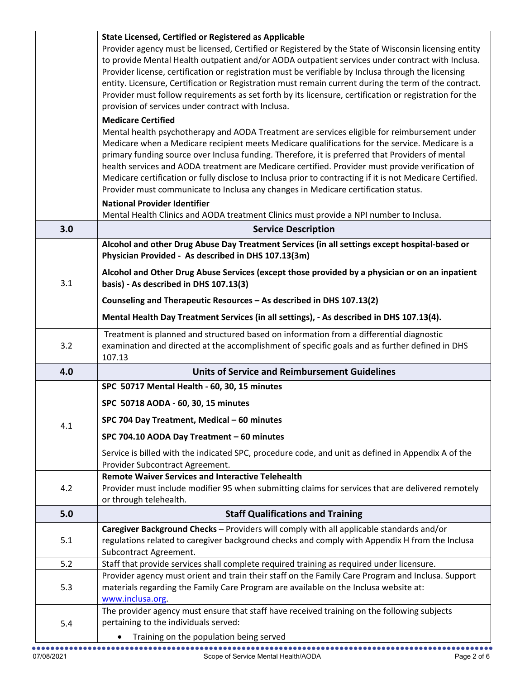|     | State Licensed, Certified or Registered as Applicable<br>Provider agency must be licensed, Certified or Registered by the State of Wisconsin licensing entity<br>to provide Mental Health outpatient and/or AODA outpatient services under contract with Inclusa.<br>Provider license, certification or registration must be verifiable by Inclusa through the licensing<br>entity. Licensure, Certification or Registration must remain current during the term of the contract.<br>Provider must follow requirements as set forth by its licensure, certification or registration for the<br>provision of services under contract with Inclusa.<br><b>Medicare Certified</b><br>Mental health psychotherapy and AODA Treatment are services eligible for reimbursement under<br>Medicare when a Medicare recipient meets Medicare qualifications for the service. Medicare is a<br>primary funding source over Inclusa funding. Therefore, it is preferred that Providers of mental<br>health services and AODA treatment are Medicare certified. Provider must provide verification of<br>Medicare certification or fully disclose to Inclusa prior to contracting if it is not Medicare Certified.<br>Provider must communicate to Inclusa any changes in Medicare certification status.<br><b>National Provider Identifier</b> |
|-----|-------------------------------------------------------------------------------------------------------------------------------------------------------------------------------------------------------------------------------------------------------------------------------------------------------------------------------------------------------------------------------------------------------------------------------------------------------------------------------------------------------------------------------------------------------------------------------------------------------------------------------------------------------------------------------------------------------------------------------------------------------------------------------------------------------------------------------------------------------------------------------------------------------------------------------------------------------------------------------------------------------------------------------------------------------------------------------------------------------------------------------------------------------------------------------------------------------------------------------------------------------------------------------------------------------------------------------------|
|     | Mental Health Clinics and AODA treatment Clinics must provide a NPI number to Inclusa.                                                                                                                                                                                                                                                                                                                                                                                                                                                                                                                                                                                                                                                                                                                                                                                                                                                                                                                                                                                                                                                                                                                                                                                                                                              |
| 3.0 | <b>Service Description</b>                                                                                                                                                                                                                                                                                                                                                                                                                                                                                                                                                                                                                                                                                                                                                                                                                                                                                                                                                                                                                                                                                                                                                                                                                                                                                                          |
|     | Alcohol and other Drug Abuse Day Treatment Services (in all settings except hospital-based or<br>Physician Provided - As described in DHS 107.13(3m)                                                                                                                                                                                                                                                                                                                                                                                                                                                                                                                                                                                                                                                                                                                                                                                                                                                                                                                                                                                                                                                                                                                                                                                |
| 3.1 | Alcohol and Other Drug Abuse Services (except those provided by a physician or on an inpatient<br>basis) - As described in DHS 107.13(3)                                                                                                                                                                                                                                                                                                                                                                                                                                                                                                                                                                                                                                                                                                                                                                                                                                                                                                                                                                                                                                                                                                                                                                                            |
|     | Counseling and Therapeutic Resources - As described in DHS 107.13(2)<br>Mental Health Day Treatment Services (in all settings), - As described in DHS 107.13(4).                                                                                                                                                                                                                                                                                                                                                                                                                                                                                                                                                                                                                                                                                                                                                                                                                                                                                                                                                                                                                                                                                                                                                                    |
| 3.2 | Treatment is planned and structured based on information from a differential diagnostic<br>examination and directed at the accomplishment of specific goals and as further defined in DHS<br>107.13                                                                                                                                                                                                                                                                                                                                                                                                                                                                                                                                                                                                                                                                                                                                                                                                                                                                                                                                                                                                                                                                                                                                 |
| 4.0 | <b>Units of Service and Reimbursement Guidelines</b>                                                                                                                                                                                                                                                                                                                                                                                                                                                                                                                                                                                                                                                                                                                                                                                                                                                                                                                                                                                                                                                                                                                                                                                                                                                                                |
|     | SPC 50717 Mental Health - 60, 30, 15 minutes                                                                                                                                                                                                                                                                                                                                                                                                                                                                                                                                                                                                                                                                                                                                                                                                                                                                                                                                                                                                                                                                                                                                                                                                                                                                                        |
|     | SPC 50718 AODA - 60, 30, 15 minutes                                                                                                                                                                                                                                                                                                                                                                                                                                                                                                                                                                                                                                                                                                                                                                                                                                                                                                                                                                                                                                                                                                                                                                                                                                                                                                 |
|     | SPC 704 Day Treatment, Medical - 60 minutes                                                                                                                                                                                                                                                                                                                                                                                                                                                                                                                                                                                                                                                                                                                                                                                                                                                                                                                                                                                                                                                                                                                                                                                                                                                                                         |
| 4.1 | SPC 704.10 AODA Day Treatment - 60 minutes                                                                                                                                                                                                                                                                                                                                                                                                                                                                                                                                                                                                                                                                                                                                                                                                                                                                                                                                                                                                                                                                                                                                                                                                                                                                                          |
|     | Service is billed with the indicated SPC, procedure code, and unit as defined in Appendix A of the<br>Provider Subcontract Agreement.                                                                                                                                                                                                                                                                                                                                                                                                                                                                                                                                                                                                                                                                                                                                                                                                                                                                                                                                                                                                                                                                                                                                                                                               |
| 4.2 | <b>Remote Waiver Services and Interactive Telehealth</b><br>Provider must include modifier 95 when submitting claims for services that are delivered remotely<br>or through telehealth.                                                                                                                                                                                                                                                                                                                                                                                                                                                                                                                                                                                                                                                                                                                                                                                                                                                                                                                                                                                                                                                                                                                                             |
| 5.0 | <b>Staff Qualifications and Training</b>                                                                                                                                                                                                                                                                                                                                                                                                                                                                                                                                                                                                                                                                                                                                                                                                                                                                                                                                                                                                                                                                                                                                                                                                                                                                                            |
| 5.1 | Caregiver Background Checks - Providers will comply with all applicable standards and/or<br>regulations related to caregiver background checks and comply with Appendix H from the Inclusa<br>Subcontract Agreement.                                                                                                                                                                                                                                                                                                                                                                                                                                                                                                                                                                                                                                                                                                                                                                                                                                                                                                                                                                                                                                                                                                                |
| 5.2 | Staff that provide services shall complete required training as required under licensure.                                                                                                                                                                                                                                                                                                                                                                                                                                                                                                                                                                                                                                                                                                                                                                                                                                                                                                                                                                                                                                                                                                                                                                                                                                           |
| 5.3 | Provider agency must orient and train their staff on the Family Care Program and Inclusa. Support<br>materials regarding the Family Care Program are available on the Inclusa website at:<br>www.inclusa.org.                                                                                                                                                                                                                                                                                                                                                                                                                                                                                                                                                                                                                                                                                                                                                                                                                                                                                                                                                                                                                                                                                                                       |
|     |                                                                                                                                                                                                                                                                                                                                                                                                                                                                                                                                                                                                                                                                                                                                                                                                                                                                                                                                                                                                                                                                                                                                                                                                                                                                                                                                     |
| 5.4 | The provider agency must ensure that staff have received training on the following subjects<br>pertaining to the individuals served:<br>Training on the population being served                                                                                                                                                                                                                                                                                                                                                                                                                                                                                                                                                                                                                                                                                                                                                                                                                                                                                                                                                                                                                                                                                                                                                     |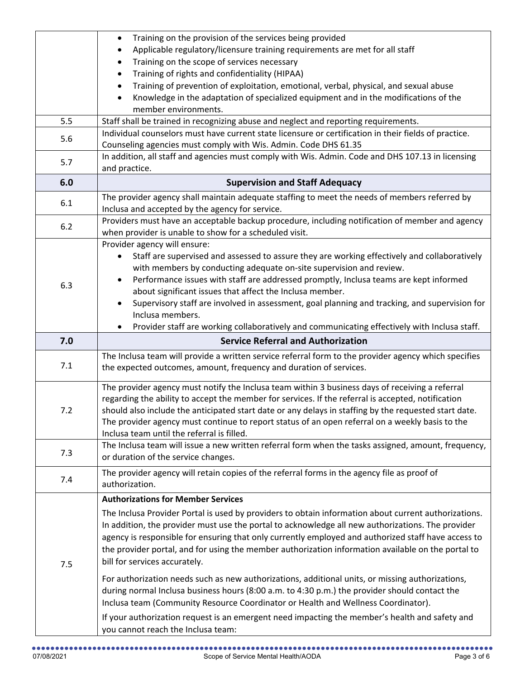|     | Training on the provision of the services being provided<br>$\bullet$                                                                                                    |
|-----|--------------------------------------------------------------------------------------------------------------------------------------------------------------------------|
|     | Applicable regulatory/licensure training requirements are met for all staff                                                                                              |
|     | Training on the scope of services necessary                                                                                                                              |
|     | Training of rights and confidentiality (HIPAA)                                                                                                                           |
|     | Training of prevention of exploitation, emotional, verbal, physical, and sexual abuse                                                                                    |
|     | Knowledge in the adaptation of specialized equipment and in the modifications of the                                                                                     |
|     | member environments.                                                                                                                                                     |
| 5.5 | Staff shall be trained in recognizing abuse and neglect and reporting requirements.                                                                                      |
| 5.6 | Individual counselors must have current state licensure or certification in their fields of practice.<br>Counseling agencies must comply with Wis. Admin. Code DHS 61.35 |
|     | In addition, all staff and agencies must comply with Wis. Admin. Code and DHS 107.13 in licensing                                                                        |
| 5.7 | and practice.                                                                                                                                                            |
| 6.0 | <b>Supervision and Staff Adequacy</b>                                                                                                                                    |
| 6.1 | The provider agency shall maintain adequate staffing to meet the needs of members referred by                                                                            |
|     | Inclusa and accepted by the agency for service.                                                                                                                          |
| 6.2 | Providers must have an acceptable backup procedure, including notification of member and agency                                                                          |
|     | when provider is unable to show for a scheduled visit.                                                                                                                   |
|     | Provider agency will ensure:                                                                                                                                             |
|     | Staff are supervised and assessed to assure they are working effectively and collaboratively                                                                             |
|     | with members by conducting adequate on-site supervision and review.                                                                                                      |
| 6.3 | Performance issues with staff are addressed promptly, Inclusa teams are kept informed                                                                                    |
|     | about significant issues that affect the Inclusa member.                                                                                                                 |
|     | Supervisory staff are involved in assessment, goal planning and tracking, and supervision for                                                                            |
|     | Inclusa members.                                                                                                                                                         |
|     | Provider staff are working collaboratively and communicating effectively with Inclusa staff.                                                                             |
|     |                                                                                                                                                                          |
| 7.0 | <b>Service Referral and Authorization</b>                                                                                                                                |
|     | The Inclusa team will provide a written service referral form to the provider agency which specifies                                                                     |
| 7.1 | the expected outcomes, amount, frequency and duration of services.                                                                                                       |
|     |                                                                                                                                                                          |
|     | The provider agency must notify the Inclusa team within 3 business days of receiving a referral                                                                          |
|     | regarding the ability to accept the member for services. If the referral is accepted, notification                                                                       |
| 7.2 | should also include the anticipated start date or any delays in staffing by the requested start date.                                                                    |
|     | The provider agency must continue to report status of an open referral on a weekly basis to the                                                                          |
|     | Inclusa team until the referral is filled.                                                                                                                               |
| 7.3 | The Inclusa team will issue a new written referral form when the tasks assigned, amount, frequency,                                                                      |
|     | or duration of the service changes.                                                                                                                                      |
| 7.4 | The provider agency will retain copies of the referral forms in the agency file as proof of                                                                              |
|     | authorization.                                                                                                                                                           |
|     | <b>Authorizations for Member Services</b>                                                                                                                                |
|     | The Inclusa Provider Portal is used by providers to obtain information about current authorizations.                                                                     |
|     | In addition, the provider must use the portal to acknowledge all new authorizations. The provider                                                                        |
|     | agency is responsible for ensuring that only currently employed and authorized staff have access to                                                                      |
|     | the provider portal, and for using the member authorization information available on the portal to                                                                       |
| 7.5 | bill for services accurately.                                                                                                                                            |
|     |                                                                                                                                                                          |
|     | For authorization needs such as new authorizations, additional units, or missing authorizations,                                                                         |
|     | during normal Inclusa business hours (8:00 a.m. to 4:30 p.m.) the provider should contact the                                                                            |
|     | Inclusa team (Community Resource Coordinator or Health and Wellness Coordinator).                                                                                        |
|     | If your authorization request is an emergent need impacting the member's health and safety and<br>you cannot reach the Inclusa team:                                     |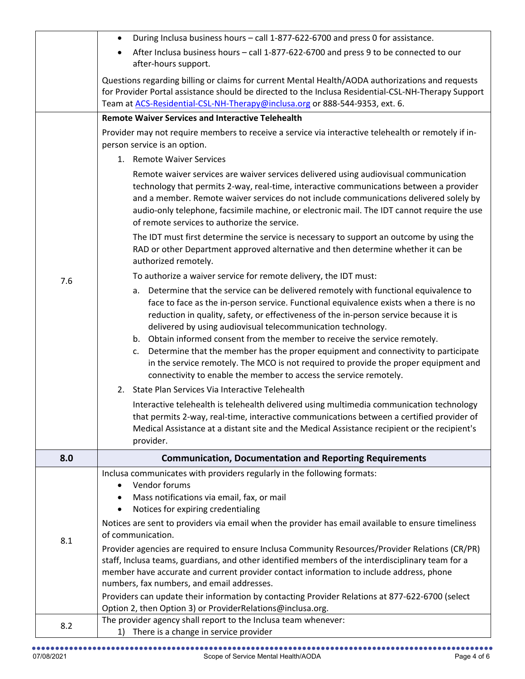|     | During Inclusa business hours - call 1-877-622-6700 and press 0 for assistance.<br>$\bullet$                                                                                                                                                                                                                                                                                                                                                                                                                                                                                                                                                                                          |
|-----|---------------------------------------------------------------------------------------------------------------------------------------------------------------------------------------------------------------------------------------------------------------------------------------------------------------------------------------------------------------------------------------------------------------------------------------------------------------------------------------------------------------------------------------------------------------------------------------------------------------------------------------------------------------------------------------|
|     | After Inclusa business hours - call 1-877-622-6700 and press 9 to be connected to our<br>$\bullet$<br>after-hours support.                                                                                                                                                                                                                                                                                                                                                                                                                                                                                                                                                            |
|     | Questions regarding billing or claims for current Mental Health/AODA authorizations and requests<br>for Provider Portal assistance should be directed to the Inclusa Residential-CSL-NH-Therapy Support<br>Team at ACS-Residential-CSL-NH-Therapy@inclusa.org or 888-544-9353, ext. 6.                                                                                                                                                                                                                                                                                                                                                                                                |
|     | <b>Remote Waiver Services and Interactive Telehealth</b>                                                                                                                                                                                                                                                                                                                                                                                                                                                                                                                                                                                                                              |
|     | Provider may not require members to receive a service via interactive telehealth or remotely if in-                                                                                                                                                                                                                                                                                                                                                                                                                                                                                                                                                                                   |
|     | person service is an option.                                                                                                                                                                                                                                                                                                                                                                                                                                                                                                                                                                                                                                                          |
|     | 1. Remote Waiver Services                                                                                                                                                                                                                                                                                                                                                                                                                                                                                                                                                                                                                                                             |
|     | Remote waiver services are waiver services delivered using audiovisual communication                                                                                                                                                                                                                                                                                                                                                                                                                                                                                                                                                                                                  |
|     | technology that permits 2-way, real-time, interactive communications between a provider<br>and a member. Remote waiver services do not include communications delivered solely by<br>audio-only telephone, facsimile machine, or electronic mail. The IDT cannot require the use<br>of remote services to authorize the service.                                                                                                                                                                                                                                                                                                                                                      |
|     | The IDT must first determine the service is necessary to support an outcome by using the<br>RAD or other Department approved alternative and then determine whether it can be<br>authorized remotely.                                                                                                                                                                                                                                                                                                                                                                                                                                                                                 |
| 7.6 | To authorize a waiver service for remote delivery, the IDT must:                                                                                                                                                                                                                                                                                                                                                                                                                                                                                                                                                                                                                      |
|     | Determine that the service can be delivered remotely with functional equivalence to<br>a.<br>face to face as the in-person service. Functional equivalence exists when a there is no<br>reduction in quality, safety, or effectiveness of the in-person service because it is<br>delivered by using audiovisual telecommunication technology.<br>b. Obtain informed consent from the member to receive the service remotely.<br>Determine that the member has the proper equipment and connectivity to participate<br>c.<br>in the service remotely. The MCO is not required to provide the proper equipment and<br>connectivity to enable the member to access the service remotely. |
|     | 2. State Plan Services Via Interactive Telehealth                                                                                                                                                                                                                                                                                                                                                                                                                                                                                                                                                                                                                                     |
|     | Interactive telehealth is telehealth delivered using multimedia communication technology<br>that permits 2-way, real-time, interactive communications between a certified provider of<br>Medical Assistance at a distant site and the Medical Assistance recipient or the recipient's<br>provider.                                                                                                                                                                                                                                                                                                                                                                                    |
| 8.0 | <b>Communication, Documentation and Reporting Requirements</b>                                                                                                                                                                                                                                                                                                                                                                                                                                                                                                                                                                                                                        |
|     | Inclusa communicates with providers regularly in the following formats:<br>Vendor forums<br>Mass notifications via email, fax, or mail<br>٠<br>Notices for expiring credentialing<br>$\bullet$                                                                                                                                                                                                                                                                                                                                                                                                                                                                                        |
| 8.1 | Notices are sent to providers via email when the provider has email available to ensure timeliness<br>of communication.                                                                                                                                                                                                                                                                                                                                                                                                                                                                                                                                                               |
|     | Provider agencies are required to ensure Inclusa Community Resources/Provider Relations (CR/PR)<br>staff, Inclusa teams, guardians, and other identified members of the interdisciplinary team for a<br>member have accurate and current provider contact information to include address, phone<br>numbers, fax numbers, and email addresses.<br>Providers can update their information by contacting Provider Relations at 877-622-6700 (select                                                                                                                                                                                                                                      |
|     | Option 2, then Option 3) or ProviderRelations@inclusa.org.<br>The provider agency shall report to the Inclusa team whenever:                                                                                                                                                                                                                                                                                                                                                                                                                                                                                                                                                          |
| 8.2 | There is a change in service provider<br>1)                                                                                                                                                                                                                                                                                                                                                                                                                                                                                                                                                                                                                                           |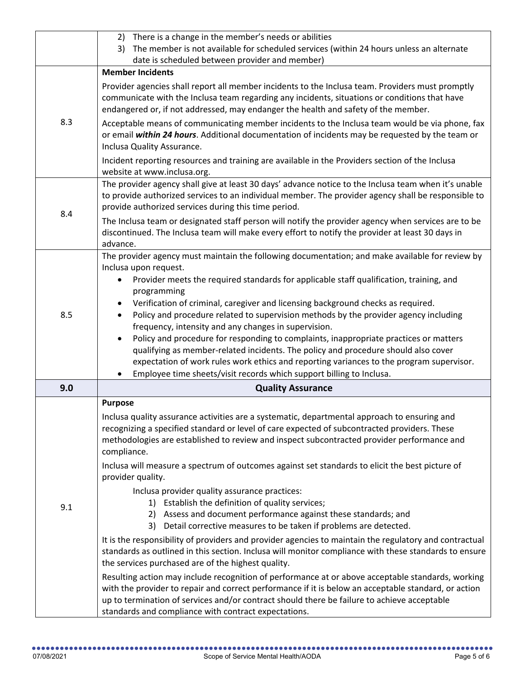|     | 2) There is a change in the member's needs or abilities<br>3) The member is not available for scheduled services (within 24 hours unless an alternate                                                                                                                                                                                                                                                                                                                                                                                                                                                                                                                                                                                                                                                                                                            |
|-----|------------------------------------------------------------------------------------------------------------------------------------------------------------------------------------------------------------------------------------------------------------------------------------------------------------------------------------------------------------------------------------------------------------------------------------------------------------------------------------------------------------------------------------------------------------------------------------------------------------------------------------------------------------------------------------------------------------------------------------------------------------------------------------------------------------------------------------------------------------------|
|     | date is scheduled between provider and member)                                                                                                                                                                                                                                                                                                                                                                                                                                                                                                                                                                                                                                                                                                                                                                                                                   |
|     | <b>Member Incidents</b>                                                                                                                                                                                                                                                                                                                                                                                                                                                                                                                                                                                                                                                                                                                                                                                                                                          |
| 8.3 | Provider agencies shall report all member incidents to the Inclusa team. Providers must promptly<br>communicate with the Inclusa team regarding any incidents, situations or conditions that have<br>endangered or, if not addressed, may endanger the health and safety of the member.                                                                                                                                                                                                                                                                                                                                                                                                                                                                                                                                                                          |
|     | Acceptable means of communicating member incidents to the Inclusa team would be via phone, fax<br>or email within 24 hours. Additional documentation of incidents may be requested by the team or<br>Inclusa Quality Assurance.                                                                                                                                                                                                                                                                                                                                                                                                                                                                                                                                                                                                                                  |
|     | Incident reporting resources and training are available in the Providers section of the Inclusa<br>website at www.inclusa.org.                                                                                                                                                                                                                                                                                                                                                                                                                                                                                                                                                                                                                                                                                                                                   |
| 8.4 | The provider agency shall give at least 30 days' advance notice to the Inclusa team when it's unable<br>to provide authorized services to an individual member. The provider agency shall be responsible to<br>provide authorized services during this time period.                                                                                                                                                                                                                                                                                                                                                                                                                                                                                                                                                                                              |
|     | The Inclusa team or designated staff person will notify the provider agency when services are to be<br>discontinued. The Inclusa team will make every effort to notify the provider at least 30 days in<br>advance.                                                                                                                                                                                                                                                                                                                                                                                                                                                                                                                                                                                                                                              |
| 8.5 | The provider agency must maintain the following documentation; and make available for review by<br>Inclusa upon request.<br>Provider meets the required standards for applicable staff qualification, training, and<br>$\bullet$<br>programming<br>Verification of criminal, caregiver and licensing background checks as required.<br>$\bullet$<br>Policy and procedure related to supervision methods by the provider agency including<br>frequency, intensity and any changes in supervision.<br>Policy and procedure for responding to complaints, inappropriate practices or matters<br>$\bullet$<br>qualifying as member-related incidents. The policy and procedure should also cover<br>expectation of work rules work ethics and reporting variances to the program supervisor.<br>Employee time sheets/visit records which support billing to Inclusa. |
| 9.0 | <b>Quality Assurance</b>                                                                                                                                                                                                                                                                                                                                                                                                                                                                                                                                                                                                                                                                                                                                                                                                                                         |
| 9.1 | <b>Purpose</b><br>Inclusa quality assurance activities are a systematic, departmental approach to ensuring and<br>recognizing a specified standard or level of care expected of subcontracted providers. These<br>methodologies are established to review and inspect subcontracted provider performance and<br>compliance.                                                                                                                                                                                                                                                                                                                                                                                                                                                                                                                                      |
|     | Inclusa will measure a spectrum of outcomes against set standards to elicit the best picture of<br>provider quality.                                                                                                                                                                                                                                                                                                                                                                                                                                                                                                                                                                                                                                                                                                                                             |
|     | Inclusa provider quality assurance practices:<br>1) Establish the definition of quality services;<br>2) Assess and document performance against these standards; and<br>3) Detail corrective measures to be taken if problems are detected.                                                                                                                                                                                                                                                                                                                                                                                                                                                                                                                                                                                                                      |
|     | It is the responsibility of providers and provider agencies to maintain the regulatory and contractual<br>standards as outlined in this section. Inclusa will monitor compliance with these standards to ensure<br>the services purchased are of the highest quality.                                                                                                                                                                                                                                                                                                                                                                                                                                                                                                                                                                                            |
|     | Resulting action may include recognition of performance at or above acceptable standards, working<br>with the provider to repair and correct performance if it is below an acceptable standard, or action<br>up to termination of services and/or contract should there be failure to achieve acceptable<br>standards and compliance with contract expectations.                                                                                                                                                                                                                                                                                                                                                                                                                                                                                                 |